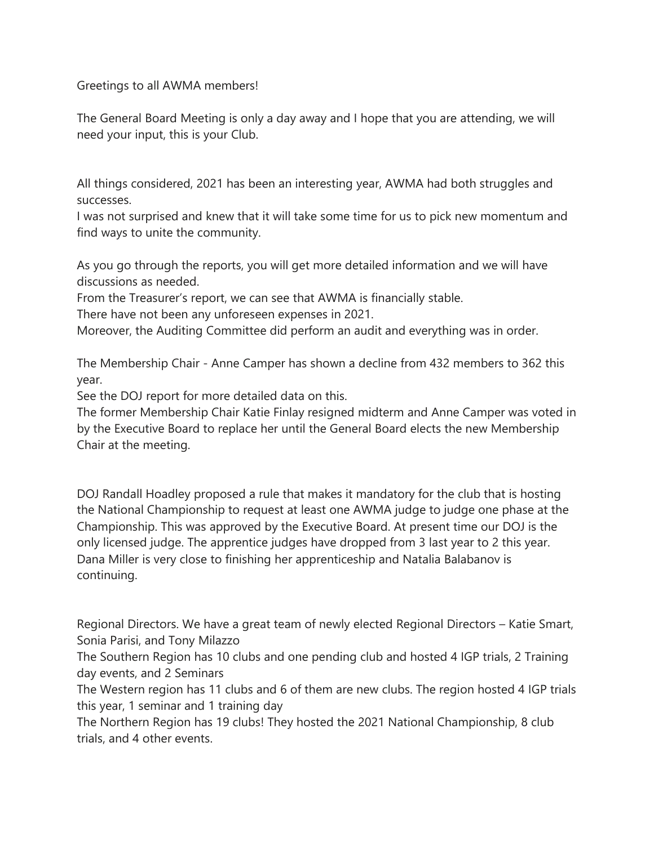Greetings to all AWMA members!

The General Board Meeting is only a day away and I hope that you are attending, we will need your input, this is your Club.

All things considered, 2021 has been an interesting year, AWMA had both struggles and successes.

I was not surprised and knew that it will take some time for us to pick new momentum and find ways to unite the community.

As you go through the reports, you will get more detailed information and we will have discussions as needed.

From the Treasurer's report, we can see that AWMA is financially stable.

There have not been any unforeseen expenses in 2021.

Moreover, the Auditing Committee did perform an audit and everything was in order.

The Membership Chair - Anne Camper has shown a decline from 432 members to 362 this year.

See the DOJ report for more detailed data on this.

The former Membership Chair Katie Finlay resigned midterm and Anne Camper was voted in by the Executive Board to replace her until the General Board elects the new Membership Chair at the meeting.

DOJ Randall Hoadley proposed a rule that makes it mandatory for the club that is hosting the National Championship to request at least one AWMA judge to judge one phase at the Championship. This was approved by the Executive Board. At present time our DOJ is the only licensed judge. The apprentice judges have dropped from 3 last year to 2 this year. Dana Miller is very close to finishing her apprenticeship and Natalia Balabanov is continuing.

Regional Directors. We have a great team of newly elected Regional Directors – Katie Smart, Sonia Parisi, and Tony Milazzo

The Southern Region has 10 clubs and one pending club and hosted 4 IGP trials, 2 Training day events, and 2 Seminars

The Western region has 11 clubs and 6 of them are new clubs. The region hosted 4 IGP trials this year, 1 seminar and 1 training day

The Northern Region has 19 clubs! They hosted the 2021 National Championship, 8 club trials, and 4 other events.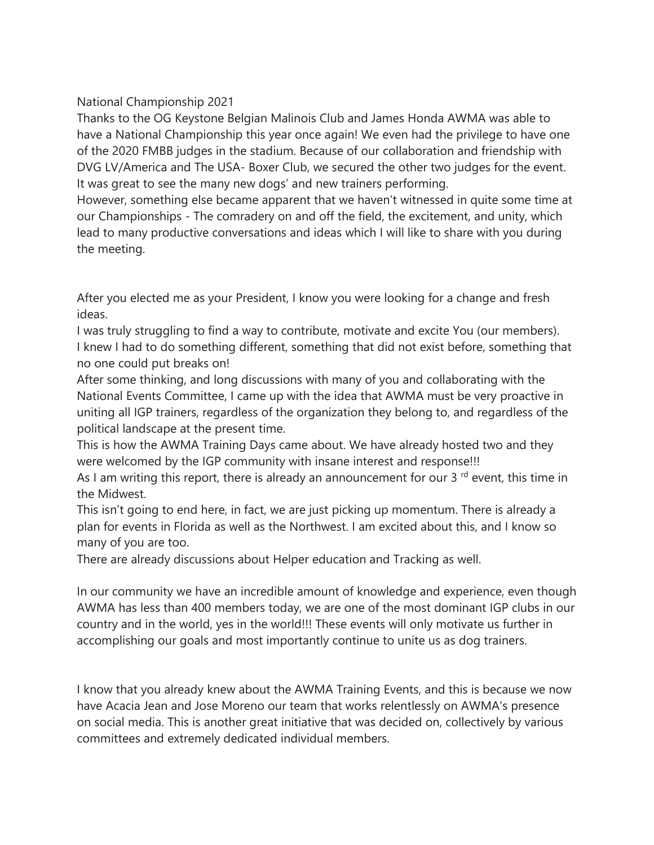## National Championship 2021

Thanks to the OG Keystone Belgian Malinois Club and James Honda AWMA was able to have a National Championship this year once again! We even had the privilege to have one of the 2020 FMBB judges in the stadium. Because of our collaboration and friendship with DVG LV/America and The USA- Boxer Club, we secured the other two judges for the event. It was great to see the many new dogs' and new trainers performing.

However, something else became apparent that we haven't witnessed in quite some time at our Championships - The comradery on and off the field, the excitement, and unity, which lead to many productive conversations and ideas which I will like to share with you during the meeting.

After you elected me as your President, I know you were looking for a change and fresh ideas.

I was truly struggling to find a way to contribute, motivate and excite You (our members). I knew I had to do something different, something that did not exist before, something that no one could put breaks on!

After some thinking, and long discussions with many of you and collaborating with the National Events Committee, I came up with the idea that AWMA must be very proactive in uniting all IGP trainers, regardless of the organization they belong to, and regardless of the political landscape at the present time.

This is how the AWMA Training Days came about. We have already hosted two and they were welcomed by the IGP community with insane interest and response!!!

As I am writing this report, there is already an announcement for our 3 $^{rd}$  event, this time in the Midwest.

This isn't going to end here, in fact, we are just picking up momentum. There is already a plan for events in Florida as well as the Northwest. I am excited about this, and I know so many of you are too.

There are already discussions about Helper education and Tracking as well.

In our community we have an incredible amount of knowledge and experience, even though AWMA has less than 400 members today, we are one of the most dominant IGP clubs in our country and in the world, yes in the world!!! These events will only motivate us further in accomplishing our goals and most importantly continue to unite us as dog trainers.

I know that you already knew about the AWMA Training Events, and this is because we now have Acacia Jean and Jose Moreno our team that works relentlessly on AWMA's presence on social media. This is another great initiative that was decided on, collectively by various committees and extremely dedicated individual members.